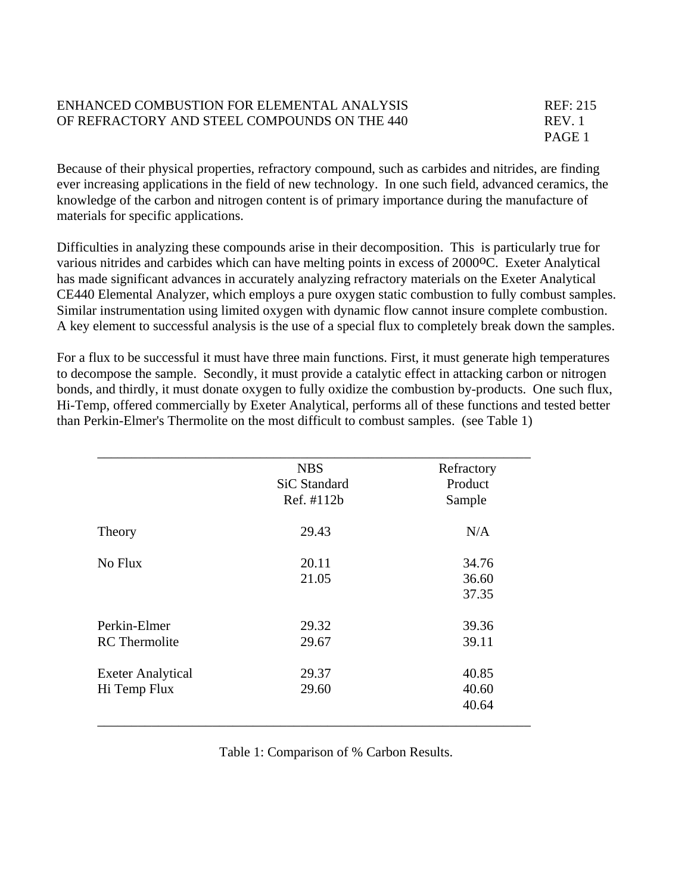## ENHANCED COMBUSTION FOR ELEMENTAL ANALYSIS REF: 215 OF REFRACTORY AND STEEL COMPOUNDS ON THE 440 REV. 1

PAGE 1

Because of their physical properties, refractory compound, such as carbides and nitrides, are finding ever increasing applications in the field of new technology. In one such field, advanced ceramics, the knowledge of the carbon and nitrogen content is of primary importance during the manufacture of materials for specific applications.

Difficulties in analyzing these compounds arise in their decomposition. This is particularly true for various nitrides and carbides which can have melting points in excess of 2000<sup>o</sup>C. Exeter Analytical has made significant advances in accurately analyzing refractory materials on the Exeter Analytical CE440 Elemental Analyzer, which employs a pure oxygen static combustion to fully combust samples. Similar instrumentation using limited oxygen with dynamic flow cannot insure complete combustion. A key element to successful analysis is the use of a special flux to completely break down the samples.

For a flux to be successful it must have three main functions. First, it must generate high temperatures to decompose the sample. Secondly, it must provide a catalytic effect in attacking carbon or nitrogen bonds, and thirdly, it must donate oxygen to fully oxidize the combustion by-products. One such flux, Hi-Temp, offered commercially by Exeter Analytical, performs all of these functions and tested better than Perkin-Elmer's Thermolite on the most difficult to combust samples. (see Table 1)

|                          | <b>NBS</b><br><b>SiC Standard</b><br>Ref. #112b | Refractory<br>Product<br>Sample |
|--------------------------|-------------------------------------------------|---------------------------------|
| Theory                   | 29.43                                           | N/A                             |
| No Flux                  | 20.11                                           | 34.76                           |
|                          | 21.05                                           | 36.60                           |
|                          |                                                 | 37.35                           |
| Perkin-Elmer             | 29.32                                           | 39.36                           |
| <b>RC</b> Thermolite     | 29.67                                           | 39.11                           |
| <b>Exeter Analytical</b> | 29.37                                           | 40.85                           |
| Hi Temp Flux             | 29.60                                           | 40.60                           |
|                          |                                                 | 40.64                           |

Table 1: Comparison of % Carbon Results.